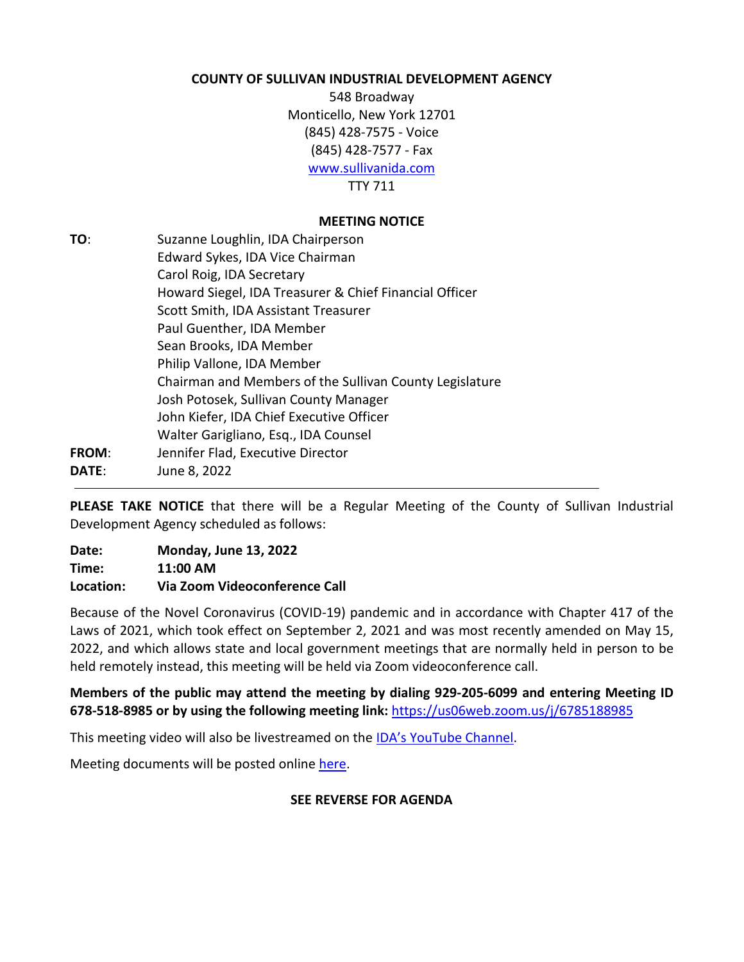#### **COUNTY OF SULLIVAN INDUSTRIAL DEVELOPMENT AGENCY**

548 Broadway Monticello, New York 12701 (845) 428-7575 - Voice (845) 428-7577 - Fax [www.sullivanida.com](http://www.sullivanida.com/) TTY 711

### **MEETING NOTICE**

| TO:   | Suzanne Loughlin, IDA Chairperson                       |
|-------|---------------------------------------------------------|
|       | Edward Sykes, IDA Vice Chairman                         |
|       | Carol Roig, IDA Secretary                               |
|       | Howard Siegel, IDA Treasurer & Chief Financial Officer  |
|       | Scott Smith, IDA Assistant Treasurer                    |
|       | Paul Guenther, IDA Member                               |
|       | Sean Brooks, IDA Member                                 |
|       | Philip Vallone, IDA Member                              |
|       | Chairman and Members of the Sullivan County Legislature |
|       | Josh Potosek, Sullivan County Manager                   |
|       | John Kiefer, IDA Chief Executive Officer                |
|       | Walter Garigliano, Esq., IDA Counsel                    |
| FROM: | Jennifer Flad, Executive Director                       |
| DATE: | June 8, 2022                                            |
|       |                                                         |

**PLEASE TAKE NOTICE** that there will be a Regular Meeting of the County of Sullivan Industrial Development Agency scheduled as follows:

| Date:     | <b>Monday, June 13, 2022</b>  |
|-----------|-------------------------------|
| Time:     | 11:00 AM                      |
| Location: | Via Zoom Videoconference Call |

Because of the Novel Coronavirus (COVID-19) pandemic and in accordance with Chapter 417 of the Laws of 2021, which took effect on September 2, 2021 and was most recently amended on May 15, 2022, and which allows state and local government meetings that are normally held in person to be held remotely instead, this meeting will be held via Zoom videoconference call.

**Members of the public may attend the meeting by dialing 929-205-6099 and entering Meeting ID 678-518-8985 or by using the following meeting link:** <https://us06web.zoom.us/j/6785188985>

This meeting video will also be livestreamed on the [IDA's YouTube Channel.](https://www.youtube.com/channel/UCqz9C4ODb5PjZNN80oAFctQ)

Meeting documents will be posted online [here.](http://www.sullivanida.com/2022-notices-agendas-minutes-and-resolutions/)

## **SEE REVERSE FOR AGENDA**